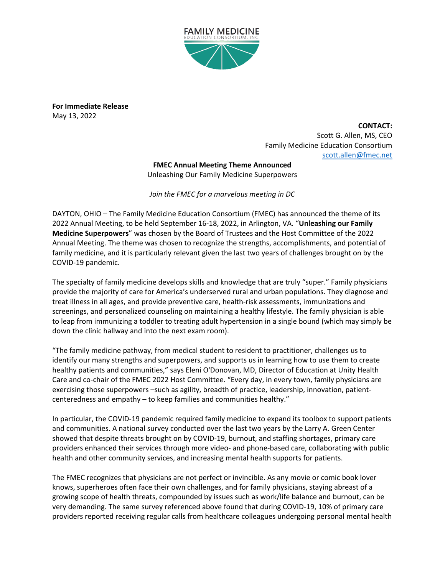

**For Immediate Release** May 13, 2022

> **CONTACT:** Scott G. Allen, MS, CEO Family Medicine Education Consortium [scott.allen@fmec.net](mailto:scott.allen@fmec.net)

**FMEC Annual Meeting Theme Announced** Unleashing Our Family Medicine Superpowers

*Join the FMEC for a marvelous meeting in DC*

DAYTON, OHIO – The Family Medicine Education Consortium (FMEC) has announced the theme of its 2022 Annual Meeting, to be held September 16-18, 2022, in Arlington, VA. "**Unleashing our Family Medicine Superpowers**" was chosen by the Board of Trustees and the Host Committee of the 2022 Annual Meeting. The theme was chosen to recognize the strengths, accomplishments, and potential of family medicine, and it is particularly relevant given the last two years of challenges brought on by the COVID-19 pandemic.

The specialty of family medicine develops skills and knowledge that are truly "super." Family physicians provide the majority of care for America's underserved rural and urban populations. They diagnose and treat illness in all ages, and provide preventive care, health-risk assessments, immunizations and screenings, and personalized counseling on maintaining a healthy lifestyle. The family physician is able to leap from immunizing a toddler to treating adult hypertension in a single bound (which may simply be down the clinic hallway and into the next exam room).

"The family medicine pathway, from medical student to resident to practitioner, challenges us to identify our many strengths and superpowers, and supports us in learning how to use them to create healthy patients and communities," says Eleni O'Donovan, MD, Director of Education at Unity Health Care and co-chair of the FMEC 2022 Host Committee. "Every day, in every town, family physicians are exercising those superpowers –such as agility, breadth of practice, leadership, innovation, patientcenteredness and empathy – to keep families and communities healthy."

In particular, the COVID-19 pandemic required family medicine to expand its toolbox to support patients and communities. A national survey conducted over the last two years by the Larry A. Green Center showed that despite threats brought on by COVID-19, burnout, and staffing shortages, primary care providers enhanced their services through more video- and phone-based care, collaborating with public health and other community services, and increasing mental health supports for patients.

The FMEC recognizes that physicians are not perfect or invincible. As any movie or comic book lover knows, superheroes often face their own challenges, and for family physicians, staying abreast of a growing scope of health threats, compounded by issues such as work/life balance and burnout, can be very demanding. The same survey referenced above found that during COVID-19, 10% of primary care providers reported receiving regular calls from healthcare colleagues undergoing personal mental health